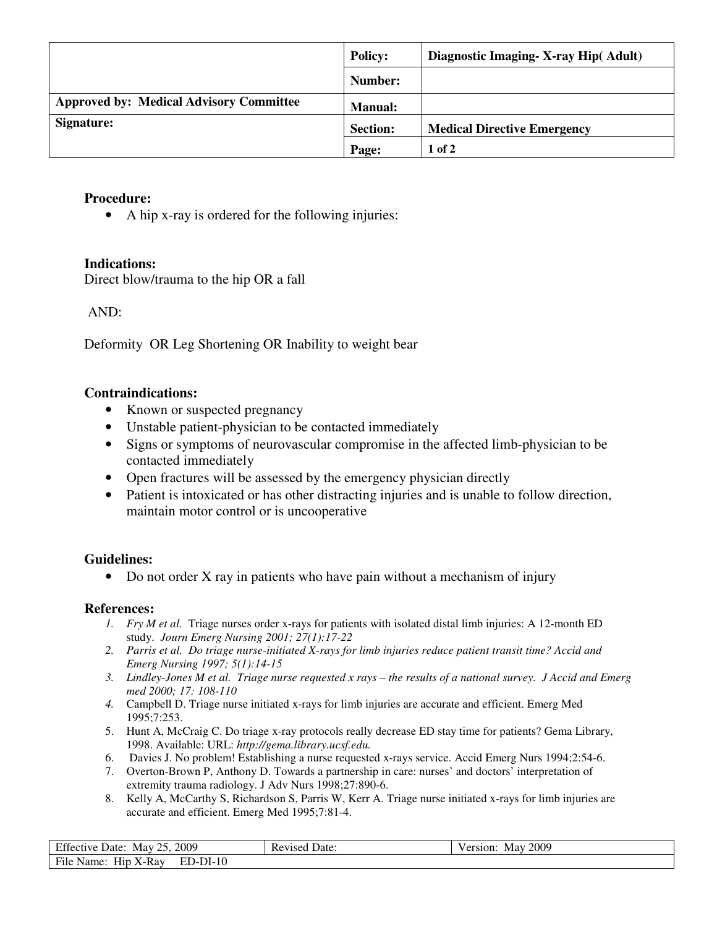|                                                | <b>Policy:</b>  | Diagnostic Imaging - X-ray Hip (Adult) |
|------------------------------------------------|-----------------|----------------------------------------|
|                                                | Number:         |                                        |
| <b>Approved by: Medical Advisory Committee</b> | <b>Manual:</b>  |                                        |
| Signature:                                     | <b>Section:</b> | <b>Medical Directive Emergency</b>     |
|                                                | Page:           | $1$ of $2$                             |

## **Procedure:**

• A hip x-ray is ordered for the following injuries:

# **Indications:**

Direct blow/trauma to the hip OR a fall

### AND:

Deformity OR Leg Shortening OR Inability to weight bear

### **Contraindications:**

- Known or suspected pregnancy
- Unstable patient-physician to be contacted immediately
- Signs or symptoms of neurovascular compromise in the affected limb-physician to be contacted immediately
- Open fractures will be assessed by the emergency physician directly
- Patient is intoxicated or has other distracting injuries and is unable to follow direction, maintain motor control or is uncooperative

#### **Guidelines:**

• Do not order X ray in patients who have pain without a mechanism of injury

#### **References:**

- *1. Fry M et al.* Triage nurses order x-rays for patients with isolated distal limb injuries: A 12-month ED study. *Journ Emerg Nursing 2001; 27(1):17-22*
- *2. Parris et al. Do triage nurse-initiated X-rays for limb injuries reduce patient transit time? Accid and Emerg Nursing 1997; 5(1):14-15*
- *3. Lindley-Jones M et al. Triage nurse requested x rays the results of a national survey. J Accid and Emerg med 2000; 17: 108-110*
- *4.* Campbell D. Triage nurse initiated x-rays for limb injuries are accurate and efficient. Emerg Med 1995;7:253.
- 5. Hunt A, McCraig C. Do triage x-ray protocols really decrease ED stay time for patients? Gema Library, 1998. Available: URL: *http://gema.library.ucsf.edu.*
- 6. Davies J. No problem! Establishing a nurse requested x-rays service. Accid Emerg Nurs 1994;2:54-6.
- 7. Overton-Brown P, Anthony D. Towards a partnership in care: nurses' and doctors' interpretation of extremity trauma radiology. J Adv Nurs 1998;27:890-6.
- 8. Kelly A, McCarthy S, Richardson S, Parris W, Kerr A. Triage nurse initiated x-rays for limb injuries are accurate and efficient. Emerg Med 1995;7:81-4.

| Effective Date: May 25, 2009       | <b>Revised Date:</b> | <b>May 2009</b><br>Version: |
|------------------------------------|----------------------|-----------------------------|
| File Name: Hip X-Ray<br>$ED-DI-10$ |                      |                             |